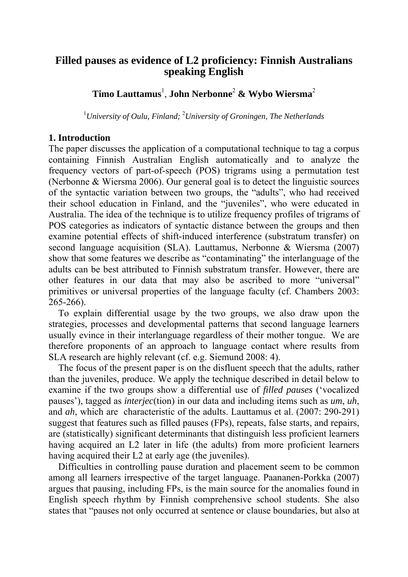# **Filled pauses as evidence of L2 proficiency: Finnish Australians speaking English**

**Timo Lauttamus**<sup>1</sup> , **John Nerbonne**<sup>2</sup>  **& Wybo Wiersma**<sup>2</sup>

<sup>1</sup> University of Oulu, Finland; <sup>2</sup> University of Groningen, The Netherlands

### **1. Introduction**

The paper discusses the application of a computational technique to tag a corpus containing Finnish Australian English automatically and to analyze the frequency vectors of part-of-speech (POS) trigrams using a permutation test (Nerbonne & Wiersma 2006). Our general goal is to detect the linguistic sources of the syntactic variation between two groups, the "adults", who had received their school education in Finland, and the "juveniles", who were educated in Australia. The idea of the technique is to utilize frequency profiles of trigrams of POS categories as indicators of syntactic distance between the groups and then examine potential effects of shift-induced interference (substratum transfer) on second language acquisition (SLA). Lauttamus, Nerbonne & Wiersma (2007) show that some features we describe as "contaminating" the interlanguage of the adults can be best attributed to Finnish substratum transfer. However, there are other features in our data that may also be ascribed to more "universal" primitives or universal properties of the language faculty (cf. Chambers 2003: 265-266).

 To explain differential usage by the two groups, we also draw upon the strategies, processes and developmental patterns that second language learners usually evince in their interlanguage regardless of their mother tongue. We are therefore proponents of an approach to language contact where results from SLA research are highly relevant (cf. e.g. Siemund 2008: 4).

 The focus of the present paper is on the disfluent speech that the adults, rather than the juveniles, produce. We apply the technique described in detail below to examine if the two groups show a differential use of *filled pauses* ('vocalized pauses'), tagged as *interjec*(tion) in our data and including items such as *um*, *uh*, and *ah*, which are characteristic of the adults. Lauttamus et al. (2007: 290-291) suggest that features such as filled pauses (FPs), repeats, false starts, and repairs, are (statistically) significant determinants that distinguish less proficient learners having acquired an L2 later in life (the adults) from more proficient learners having acquired their L2 at early age (the juveniles).

 Difficulties in controlling pause duration and placement seem to be common among all learners irrespective of the target language. Paananen-Porkka (2007) argues that pausing, including FPs, is the main source for the anomalies found in English speech rhythm by Finnish comprehensive school students. She also states that "pauses not only occurred at sentence or clause boundaries, but also at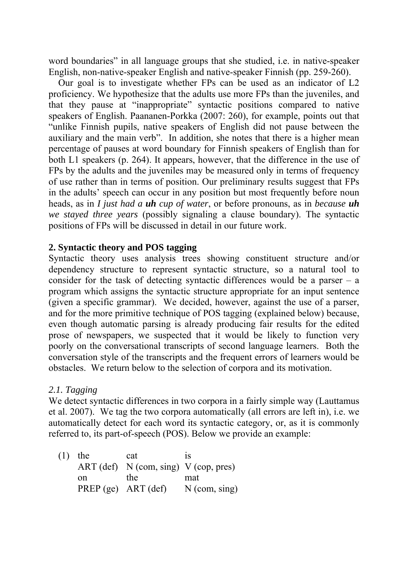word boundaries" in all language groups that she studied, i.e. in native-speaker English, non-native-speaker English and native-speaker Finnish (pp. 259-260).

 Our goal is to investigate whether FPs can be used as an indicator of L2 proficiency. We hypothesize that the adults use more FPs than the juveniles, and that they pause at "inappropriate" syntactic positions compared to native speakers of English. Paananen-Porkka (2007: 260), for example, points out that "unlike Finnish pupils, native speakers of English did not pause between the auxiliary and the main verb". In addition, she notes that there is a higher mean percentage of pauses at word boundary for Finnish speakers of English than for both L1 speakers (p. 264). It appears, however, that the difference in the use of FPs by the adults and the juveniles may be measured only in terms of frequency of use rather than in terms of position. Our preliminary results suggest that FPs in the adults' speech can occur in any position but most frequently before noun heads, as in *I just had a uh cup of water*, or before pronouns, as in *because uh we stayed three years* (possibly signaling a clause boundary). The syntactic positions of FPs will be discussed in detail in our future work.

### **2. Syntactic theory and POS tagging**

Syntactic theory uses analysis trees showing constituent structure and/or dependency structure to represent syntactic structure, so a natural tool to consider for the task of detecting syntactic differences would be a parser – a program which assigns the syntactic structure appropriate for an input sentence (given a specific grammar). We decided, however, against the use of a parser, and for the more primitive technique of POS tagging (explained below) because, even though automatic parsing is already producing fair results for the edited prose of newspapers, we suspected that it would be likely to function very poorly on the conversational transcripts of second language learners. Both the conversation style of the transcripts and the frequent errors of learners would be obstacles. We return below to the selection of corpora and its motivation.

## *2.1. Tagging*

We detect syntactic differences in two corpora in a fairly simple way (Lauttamus et al. 2007). We tag the two corpora automatically (all errors are left in), i.e. we automatically detect for each word its syntactic category, or, as it is commonly referred to, its part-of-speech (POS). Below we provide an example:

 (1) the cat is ART (def)  $N$  (com, sing)  $V$  (cop, pres) on the mat PREP (ge)  $ART$  (def)  $N$  (com, sing)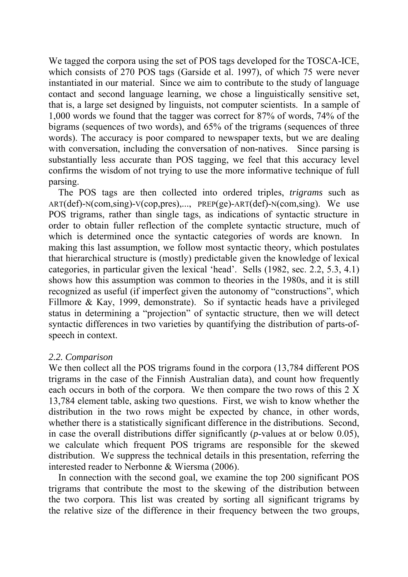We tagged the corpora using the set of POS tags developed for the TOSCA-ICE, which consists of 270 POS tags (Garside et al. 1997), of which 75 were never instantiated in our material. Since we aim to contribute to the study of language contact and second language learning, we chose a linguistically sensitive set, that is, a large set designed by linguists, not computer scientists. In a sample of 1,000 words we found that the tagger was correct for 87% of words, 74% of the bigrams (sequences of two words), and 65% of the trigrams (sequences of three words). The accuracy is poor compared to newspaper texts, but we are dealing with conversation, including the conversation of non-natives. Since parsing is substantially less accurate than POS tagging, we feel that this accuracy level confirms the wisdom of not trying to use the more informative technique of full parsing.

The POS tags are then collected into ordered triples, *trigrams* such as ART(def)-N(com,sing)-V(cop,pres),..., PREP(ge)-ART(def)-N(com,sing). We use POS trigrams, rather than single tags, as indications of syntactic structure in order to obtain fuller reflection of the complete syntactic structure, much of which is determined once the syntactic categories of words are known. In making this last assumption, we follow most syntactic theory, which postulates that hierarchical structure is (mostly) predictable given the knowledge of lexical categories, in particular given the lexical 'head'. Sells (1982, sec. 2.2, 5.3, 4.1) shows how this assumption was common to theories in the 1980s, and it is still recognized as useful (if imperfect given the autonomy of "constructions", which Fillmore & Kay, 1999, demonstrate). So if syntactic heads have a privileged status in determining a "projection" of syntactic structure, then we will detect syntactic differences in two varieties by quantifying the distribution of parts-ofspeech in context.

#### *2.2. Comparison*

We then collect all the POS trigrams found in the corpora (13,784 different POS trigrams in the case of the Finnish Australian data), and count how frequently each occurs in both of the corpora. We then compare the two rows of this 2 X 13,784 element table, asking two questions. First, we wish to know whether the distribution in the two rows might be expected by chance, in other words, whether there is a statistically significant difference in the distributions. Second, in case the overall distributions differ significantly (*p*-values at or below 0.05), we calculate which frequent POS trigrams are responsible for the skewed distribution. We suppress the technical details in this presentation, referring the interested reader to Nerbonne & Wiersma (2006).

 In connection with the second goal, we examine the top 200 significant POS trigrams that contribute the most to the skewing of the distribution between the two corpora. This list was created by sorting all significant trigrams by the relative size of the difference in their frequency between the two groups,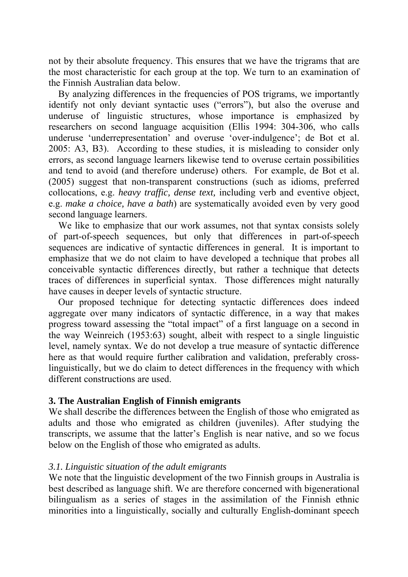not by their absolute frequency. This ensures that we have the trigrams that are the most characteristic for each group at the top. We turn to an examination of the Finnish Australian data below.

 By analyzing differences in the frequencies of POS trigrams, we importantly identify not only deviant syntactic uses ("errors"), but also the overuse and underuse of linguistic structures, whose importance is emphasized by researchers on second language acquisition (Ellis 1994: 304-306, who calls underuse 'underrepresentation' and overuse 'over-indulgence'; de Bot et al. 2005: A3, B3). According to these studies, it is misleading to consider only errors, as second language learners likewise tend to overuse certain possibilities and tend to avoid (and therefore underuse) others. For example, de Bot et al. (2005) suggest that non-transparent constructions (such as idioms, preferred collocations, e.g. *heavy traffic, dense text,* including verb and eventive object, e.g. *make a choice, have a bath*) are systematically avoided even by very good second language learners.

We like to emphasize that our work assumes, not that syntax consists solely of part-of-speech sequences, but only that differences in part-of-speech sequences are indicative of syntactic differences in general. It is important to emphasize that we do not claim to have developed a technique that probes all conceivable syntactic differences directly, but rather a technique that detects traces of differences in superficial syntax. Those differences might naturally have causes in deeper levels of syntactic structure.

 Our proposed technique for detecting syntactic differences does indeed aggregate over many indicators of syntactic difference, in a way that makes progress toward assessing the "total impact" of a first language on a second in the way Weinreich (1953:63) sought, albeit with respect to a single linguistic level, namely syntax. We do not develop a true measure of syntactic difference here as that would require further calibration and validation, preferably crosslinguistically, but we do claim to detect differences in the frequency with which different constructions are used.

#### **3. The Australian English of Finnish emigrants**

We shall describe the differences between the English of those who emigrated as adults and those who emigrated as children (juveniles). After studying the transcripts, we assume that the latter's English is near native, and so we focus below on the English of those who emigrated as adults.

#### *3.1. Linguistic situation of the adult emigrants*

We note that the linguistic development of the two Finnish groups in Australia is best described as language shift. We are therefore concerned with bigenerational bilingualism as a series of stages in the assimilation of the Finnish ethnic minorities into a linguistically, socially and culturally English-dominant speech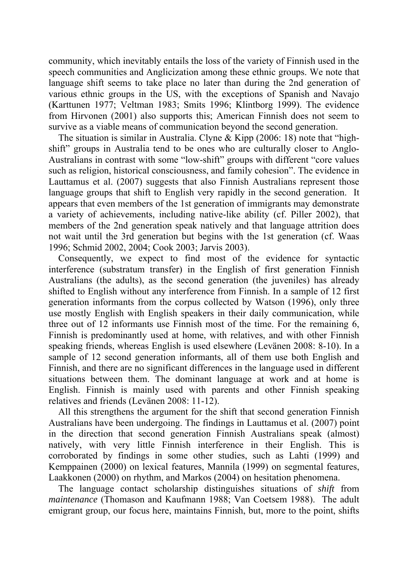community, which inevitably entails the loss of the variety of Finnish used in the speech communities and Anglicization among these ethnic groups. We note that language shift seems to take place no later than during the 2nd generation of various ethnic groups in the US, with the exceptions of Spanish and Navajo (Karttunen 1977; Veltman 1983; Smits 1996; Klintborg 1999). The evidence from Hirvonen (2001) also supports this; American Finnish does not seem to survive as a viable means of communication beyond the second generation.

The situation is similar in Australia. Clyne  $&$  Kipp (2006: 18) note that "highshift" groups in Australia tend to be ones who are culturally closer to Anglo-Australians in contrast with some "low-shift" groups with different "core values such as religion, historical consciousness, and family cohesion". The evidence in Lauttamus et al. (2007) suggests that also Finnish Australians represent those language groups that shift to English very rapidly in the second generation. It appears that even members of the 1st generation of immigrants may demonstrate a variety of achievements, including native-like ability (cf. Piller 2002), that members of the 2nd generation speak natively and that language attrition does not wait until the 3rd generation but begins with the 1st generation (cf. Waas 1996; Schmid 2002, 2004; Cook 2003; Jarvis 2003).

Consequently, we expect to find most of the evidence for syntactic interference (substratum transfer) in the English of first generation Finnish Australians (the adults), as the second generation (the juveniles) has already shifted to English without any interference from Finnish. In a sample of 12 first generation informants from the corpus collected by Watson (1996), only three use mostly English with English speakers in their daily communication, while three out of 12 informants use Finnish most of the time. For the remaining 6, Finnish is predominantly used at home, with relatives, and with other Finnish speaking friends, whereas English is used elsewhere (Levänen 2008: 8-10). In a sample of 12 second generation informants, all of them use both English and Finnish, and there are no significant differences in the language used in different situations between them. The dominant language at work and at home is English. Finnish is mainly used with parents and other Finnish speaking relatives and friends (Levänen 2008: 11-12).

All this strengthens the argument for the shift that second generation Finnish Australians have been undergoing. The findings in Lauttamus et al. (2007) point in the direction that second generation Finnish Australians speak (almost) natively, with very little Finnish interference in their English. This is corroborated by findings in some other studies, such as Lahti (1999) and Kemppainen (2000) on lexical features, Mannila (1999) on segmental features, Laakkonen (2000) on rhythm, and Markos (2004) on hesitation phenomena.

 The language contact scholarship distinguishes situations of *shift* from *maintenance* (Thomason and Kaufmann 1988; Van Coetsem 1988). The adult emigrant group, our focus here, maintains Finnish, but, more to the point, shifts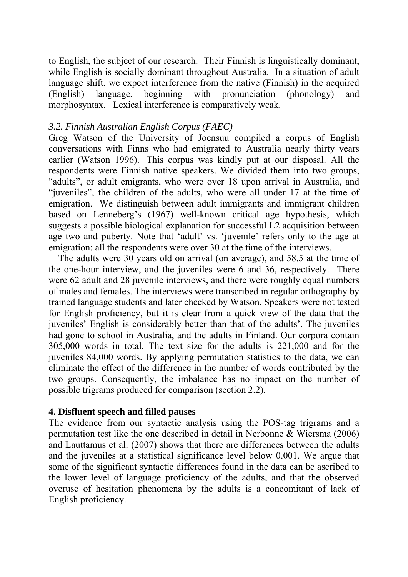to English, the subject of our research. Their Finnish is linguistically dominant, while English is socially dominant throughout Australia. In a situation of adult language shift, we expect interference from the native (Finnish) in the acquired (English) language, beginning with pronunciation (phonology) and morphosyntax. Lexical interference is comparatively weak.

### *3.2. Finnish Australian English Corpus (FAEC)*

Greg Watson of the University of Joensuu compiled a corpus of English conversations with Finns who had emigrated to Australia nearly thirty years earlier (Watson 1996). This corpus was kindly put at our disposal. All the respondents were Finnish native speakers. We divided them into two groups, "adults", or adult emigrants, who were over 18 upon arrival in Australia, and "juveniles", the children of the adults, who were all under 17 at the time of emigration. We distinguish between adult immigrants and immigrant children based on Lenneberg's (1967) well-known critical age hypothesis, which suggests a possible biological explanation for successful L2 acquisition between age two and puberty. Note that 'adult' vs. 'juvenile' refers only to the age at emigration: all the respondents were over 30 at the time of the interviews.

The adults were 30 years old on arrival (on average), and 58.5 at the time of the one-hour interview, and the juveniles were 6 and 36, respectively. There were 62 adult and 28 juvenile interviews, and there were roughly equal numbers of males and females. The interviews were transcribed in regular orthography by trained language students and later checked by Watson. Speakers were not tested for English proficiency, but it is clear from a quick view of the data that the juveniles' English is considerably better than that of the adults'. The juveniles had gone to school in Australia, and the adults in Finland. Our corpora contain 305,000 words in total. The text size for the adults is 221,000 and for the juveniles 84,000 words. By applying permutation statistics to the data, we can eliminate the effect of the difference in the number of words contributed by the two groups. Consequently, the imbalance has no impact on the number of possible trigrams produced for comparison (section 2.2).

## **4. Disfluent speech and filled pauses**

The evidence from our syntactic analysis using the POS-tag trigrams and a permutation test like the one described in detail in Nerbonne & Wiersma (2006) and Lauttamus et al. (2007) shows that there are differences between the adults and the juveniles at a statistical significance level below 0.001. We argue that some of the significant syntactic differences found in the data can be ascribed to the lower level of language proficiency of the adults, and that the observed overuse of hesitation phenomena by the adults is a concomitant of lack of English proficiency.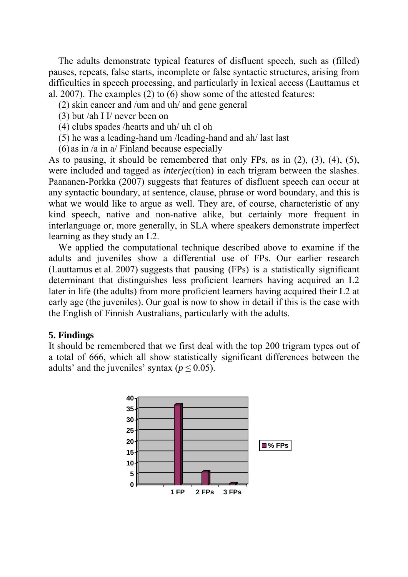The adults demonstrate typical features of disfluent speech, such as (filled) pauses, repeats, false starts, incomplete or false syntactic structures, arising from difficulties in speech processing, and particularly in lexical access (Lauttamus et al. 2007). The examples (2) to (6) show some of the attested features:

- (2) skin cancer and /um and uh/ and gene general
- (3) but /ah I I/ never been on
- (4) clubs spades /hearts and uh/ uh cl oh
- (5) he was a leading-hand um /leading-hand and ah/ last last
- (6) as in /a in a/ Finland because especially

As to pausing, it should be remembered that only FPs, as in (2), (3), (4), (5), were included and tagged as *interjec*(tion) in each trigram between the slashes. Paananen-Porkka (2007) suggests that features of disfluent speech can occur at any syntactic boundary, at sentence, clause, phrase or word boundary, and this is what we would like to argue as well. They are, of course, characteristic of any kind speech, native and non-native alike, but certainly more frequent in interlanguage or, more generally, in SLA where speakers demonstrate imperfect learning as they study an L2.

 We applied the computational technique described above to examine if the adults and juveniles show a differential use of FPs. Our earlier research (Lauttamus et al. 2007) suggests that pausing (FPs) is a statistically significant determinant that distinguishes less proficient learners having acquired an L2 later in life (the adults) from more proficient learners having acquired their L2 at early age (the juveniles). Our goal is now to show in detail if this is the case with the English of Finnish Australians, particularly with the adults.

#### **5. Findings**

It should be remembered that we first deal with the top 200 trigram types out of a total of 666, which all show statistically significant differences between the adults' and the juveniles' syntax ( $p \le 0.05$ ).

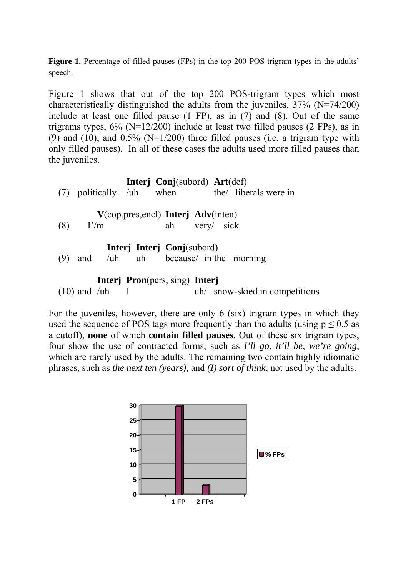Figure 1. Percentage of filled pauses (FPs) in the top 200 POS-trigram types in the adults' speech.

Figure 1 shows that out of the top 200 POS-trigram types which most characteristically distinguished the adults from the juveniles, 37% (N=74/200) include at least one filled pause (1 FP), as in (7) and (8). Out of the same trigrams types,  $6\%$  (N=12/200) include at least two filled pauses (2 FPs), as in (9) and (10), and  $0.5\%$  (N=1/200) three filled pauses (i.e. a trigram type with only filled pauses). In all of these cases the adults used more filled pauses than the juveniles.

|                                                                                                 |                                    |  | Interj Conj(subord) Art(def)                             |  |  | $(7)$ politically /uh when the liberals were in |
|-------------------------------------------------------------------------------------------------|------------------------------------|--|----------------------------------------------------------|--|--|-------------------------------------------------|
| (8)                                                                                             | $\Gamma/m$                         |  | $V$ (cop, pres, encl) Interj Adv(inten)<br>ah very/ sick |  |  |                                                 |
| (9)                                                                                             | and /uh uh because/ in the morning |  | <b>Interj Interj Conj</b> (subord)                       |  |  |                                                 |
| <b>Interj Pron</b> (pers, sing) <b>Interj</b><br>uh/ snow-skied in competitions<br>and $/\mu$ h |                                    |  |                                                          |  |  |                                                 |

For the juveniles, however, there are only 6 (six) trigram types in which they used the sequence of POS tags more frequently than the adults (using  $p \le 0.5$  as a cutoff), **none** of which **contain filled pauses**. Out of these six trigram types, four show the use of contracted forms, such as *I'll go*, *it'll be*, *we're going*, which are rarely used by the adults. The remaining two contain highly idiomatic phrases, such as *the next ten (years),* and *(I) sort of think*, not used by the adults.

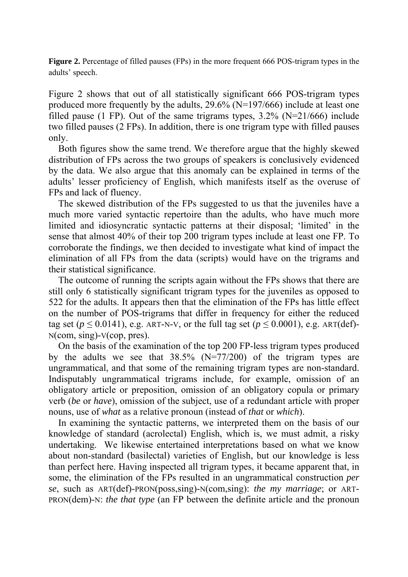**Figure 2.** Percentage of filled pauses (FPs) in the more frequent 666 POS-trigram types in the adults' speech.

Figure 2 shows that out of all statistically significant 666 POS-trigram types produced more frequently by the adults, 29.6% (N=197/666) include at least one filled pause (1 FP). Out of the same trigrams types,  $3.2\%$  (N=21/666) include two filled pauses (2 FPs). In addition, there is one trigram type with filled pauses only.

 Both figures show the same trend. We therefore argue that the highly skewed distribution of FPs across the two groups of speakers is conclusively evidenced by the data. We also argue that this anomaly can be explained in terms of the adults' lesser proficiency of English, which manifests itself as the overuse of FPs and lack of fluency.

 The skewed distribution of the FPs suggested to us that the juveniles have a much more varied syntactic repertoire than the adults, who have much more limited and idiosyncratic syntactic patterns at their disposal; 'limited' in the sense that almost 40% of their top 200 trigram types include at least one FP. To corroborate the findings, we then decided to investigate what kind of impact the elimination of all FPs from the data (scripts) would have on the trigrams and their statistical significance.

 The outcome of running the scripts again without the FPs shows that there are still only 6 statistically significant trigram types for the juveniles as opposed to 522 for the adults. It appears then that the elimination of the FPs has little effect on the number of POS-trigrams that differ in frequency for either the reduced tag set ( $p \le 0.0141$ ), e.g. ART-N-V, or the full tag set ( $p \le 0.0001$ ), e.g. ART(def)-N(com, sing)-V(cop, pres).

 On the basis of the examination of the top 200 FP-less trigram types produced by the adults we see that 38.5% (N=77/200) of the trigram types are ungrammatical, and that some of the remaining trigram types are non-standard. Indisputably ungrammatical trigrams include, for example, omission of an obligatory article or preposition, omission of an obligatory copula or primary verb (*be* or *have*), omission of the subject, use of a redundant article with proper nouns, use of *what* as a relative pronoun (instead of *that* or *which*).

 In examining the syntactic patterns, we interpreted them on the basis of our knowledge of standard (acrolectal) English, which is, we must admit, a risky undertaking. We likewise entertained interpretations based on what we know about non-standard (basilectal) varieties of English, but our knowledge is less than perfect here. Having inspected all trigram types, it became apparent that, in some, the elimination of the FPs resulted in an ungrammatical construction *per se*, such as ART(def)-PRON(poss,sing)-N(com,sing): *the my marriage*; or ART-PRON(dem)-N: *the that type* (an FP between the definite article and the pronoun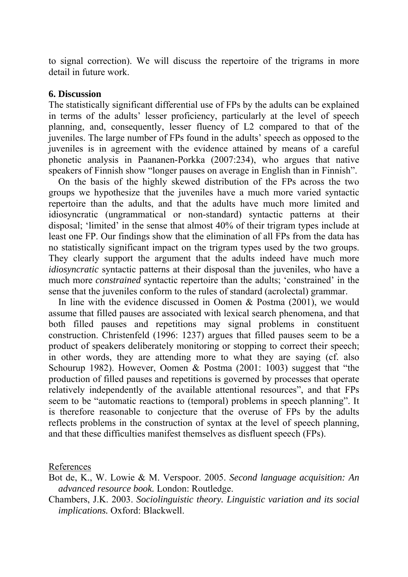to signal correction). We will discuss the repertoire of the trigrams in more detail in future work.

#### **6. Discussion**

The statistically significant differential use of FPs by the adults can be explained in terms of the adults' lesser proficiency, particularly at the level of speech planning, and, consequently, lesser fluency of L2 compared to that of the juveniles. The large number of FPs found in the adults' speech as opposed to the juveniles is in agreement with the evidence attained by means of a careful phonetic analysis in Paananen-Porkka (2007:234), who argues that native speakers of Finnish show "longer pauses on average in English than in Finnish".

On the basis of the highly skewed distribution of the FPs across the two groups we hypothesize that the juveniles have a much more varied syntactic repertoire than the adults, and that the adults have much more limited and idiosyncratic (ungrammatical or non-standard) syntactic patterns at their disposal; 'limited' in the sense that almost 40% of their trigram types include at least one FP. Our findings show that the elimination of all FPs from the data has no statistically significant impact on the trigram types used by the two groups. They clearly support the argument that the adults indeed have much more *idiosyncratic* syntactic patterns at their disposal than the juveniles, who have a much more *constrained* syntactic repertoire than the adults; 'constrained' in the sense that the juveniles conform to the rules of standard (acrolectal) grammar.

In line with the evidence discussed in Oomen & Postma (2001), we would assume that filled pauses are associated with lexical search phenomena, and that both filled pauses and repetitions may signal problems in constituent construction. Christenfeld (1996: 1237) argues that filled pauses seem to be a product of speakers deliberately monitoring or stopping to correct their speech; in other words, they are attending more to what they are saying (cf. also Schourup 1982). However, Oomen & Postma (2001: 1003) suggest that "the production of filled pauses and repetitions is governed by processes that operate relatively independently of the available attentional resources", and that FPs seem to be "automatic reactions to (temporal) problems in speech planning". It is therefore reasonable to conjecture that the overuse of FPs by the adults reflects problems in the construction of syntax at the level of speech planning, and that these difficulties manifest themselves as disfluent speech (FPs).

References

Bot de, K., W. Lowie & M. Verspoor. 2005. *Second language acquisition: An advanced resource book.* London: Routledge.

Chambers, J.K. 2003. *Sociolinguistic theory. Linguistic variation and its social implications.* Oxford: Blackwell.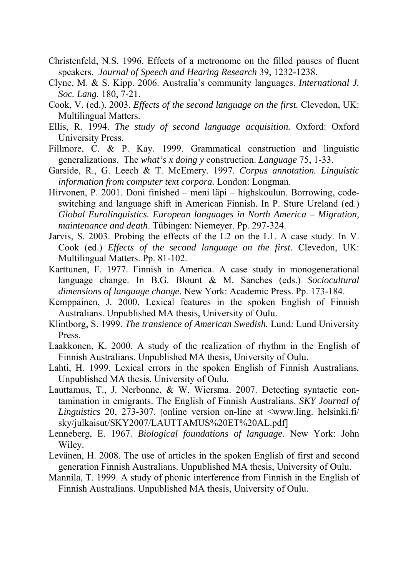- Christenfeld, N.S. 1996. Effects of a metronome on the filled pauses of fluent speakers. *Journal of Speech and Hearing Research* 39, 1232-1238.
- Clyne, M. & S. Kipp. 2006. Australia's community languages. *International J. Soc. Lang.* 180, 7-21.
- Cook, V. (ed.). 2003. *Effects of the second language on the first.* Clevedon, UK: Multilingual Matters.
- Ellis, R. 1994. *The study of second language acquisition.* Oxford: Oxford University Press.
- Fillmore, C. & P. Kay. 1999. Grammatical construction and linguistic generalizations. The *what's x doing y* construction. *Language* 75, 1-33.
- Garside, R., G. Leech & T. McEmery. 1997. *Corpus annotation. Linguistic information from computer text corpora.* London: Longman.
- Hirvonen, P. 2001. Doni finished meni läpi highskoulun. Borrowing, codeswitching and language shift in American Finnish. In P. Sture Ureland (ed.) *Global Eurolinguistics. European languages in North America – Migration, maintenance and death*. Tübingen: Niemeyer. Pp. 297-324.
- Jarvis, S. 2003. Probing the effects of the L2 on the L1. A case study. In V. Cook (ed.) *Effects of the second language on the first.* Clevedon, UK: Multilingual Matters. Pp. 81-102.
- Karttunen, F. 1977. Finnish in America. A case study in monogenerational language change. In B.G. Blount & M. Sanches (eds.) *Sociocultural dimensions of language change.* New York: Academic Press. Pp. 173-184.
- Kemppainen, J. 2000. Lexical features in the spoken English of Finnish Australians. Unpublished MA thesis, University of Oulu.
- Klintborg, S. 1999. *The transience of American Swedish.* Lund: Lund University Press.
- Laakkonen, K. 2000. A study of the realization of rhythm in the English of Finnish Australians. Unpublished MA thesis, University of Oulu.
- Lahti, H. 1999. Lexical errors in the spoken English of Finnish Australians*.* Unpublished MA thesis, University of Oulu.
- Lauttamus, T., J. Nerbonne, & W. Wiersma. 2007. Detecting syntactic contamination in emigrants. The English of Finnish Australians. *SKY Journal of Linguistics* 20, 273-307. [online version on-line at <www.ling. helsinki.fi/ sky/julkaisut/SKY2007/LAUTTAMUS%20ET%20AL.pdf]
- Lenneberg, E. 1967. *Biological foundations of language.* New York: John Wiley.
- Levänen, H. 2008. The use of articles in the spoken English of first and second generation Finnish Australians. Unpublished MA thesis, University of Oulu.
- Mannila, T. 1999. A study of phonic interference from Finnish in the English of Finnish Australians. Unpublished MA thesis, University of Oulu.